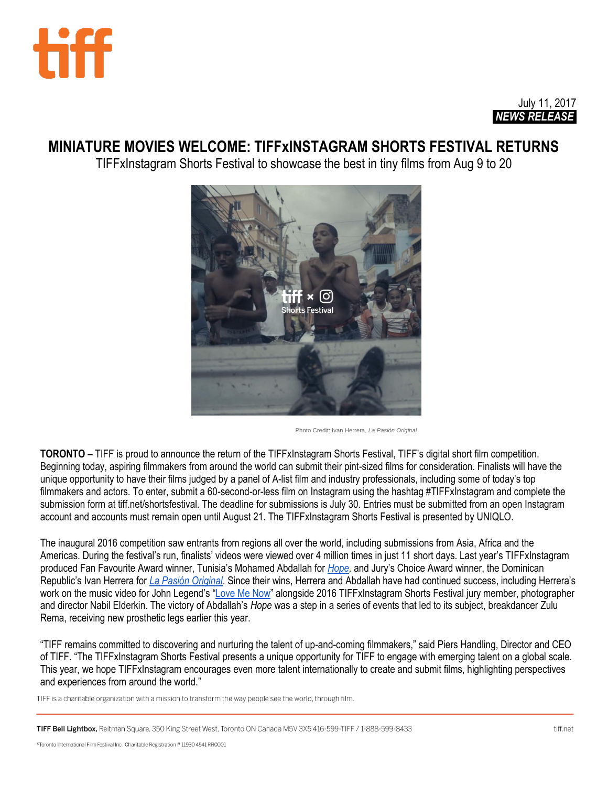

# July 11, 2017 *NEWS RELEASE.*

# **MINIATURE MOVIES WELCOME: TIFFxINSTAGRAM SHORTS FESTIVAL RETURNS**

TIFFxInstagram Shorts Festival to showcase the best in tiny films from Aug 9 to 20



Photo Credit: Ivan Herrera, *La Pasión Original*

**TORONTO –** TIFF is proud to announce the return of the TIFFxInstagram Shorts Festival, TIFF's digital short film competition. Beginning today, aspiring filmmakers from around the world can submit their pint-sized films for consideration. Finalists will have the unique opportunity to have their films judged by a panel of A-list film and industry professionals, including some of today's top filmmakers and actors. To enter, submit a 60-second-or-less film on Instagram using the hashtag #TIFFxInstagram and complete the submission form at tiff.net/shortsfestival. The deadline for submissions is July 30. Entries must be submitted from an open Instagram account and accounts must remain open until August 21. The TIFFxInstagram Shorts Festival is presented by UNIQLO.

The inaugural 2016 competition saw entrants from regions all over the world, including submissions from Asia, Africa and the Americas. During the festival's run, finalists' videos were viewed over 4 million times in just 11 short days. Last year's TIFFxInstagram produced Fan Favourite Award winner, Tunisia's Mohamed Abdallah for *[Hope,](https://www.instagram.com/p/BJRYDOdDRQo/)* and Jury's Choice Award winner, the Dominican Republic's Ivan Herrera for *[La Pasión Original](https://www.instagram.com/p/BJQZf1JDv_p/)*. Since their wins, Herrera and Abdallah have had continued success, including Herrera's work on the music video for John Legend's "[Love Me Now](https://www.youtube.com/watch?v=NmCFY1oYDeM)" alongside 2016 TIFFxInstagram Shorts Festival jury member, photographer and director Nabil Elderkin. The victory of Abdallah's *Hope* was a step in a series of events that led to its subject, breakdancer Zulu Rema, receiving new prosthetic legs earlier this year.

"TIFF remains committed to discovering and nurturing the talent of up-and-coming filmmakers," said Piers Handling, Director and CEO of TIFF. "The TIFFxInstagram Shorts Festival presents a unique opportunity for TIFF to engage with emerging talent on a global scale. This year, we hope TIFFxInstagram encourages even more talent internationally to create and submit films, highlighting perspectives and experiences from around the world."

TIFF is a charitable organization with a mission to transform the way people see the world, through film.

TIFF Bell Lightbox, Reitman Square, 350 King Street West, Toronto ON Canada M5V 3X5 416-599-TIFF / 1-888-599-8433